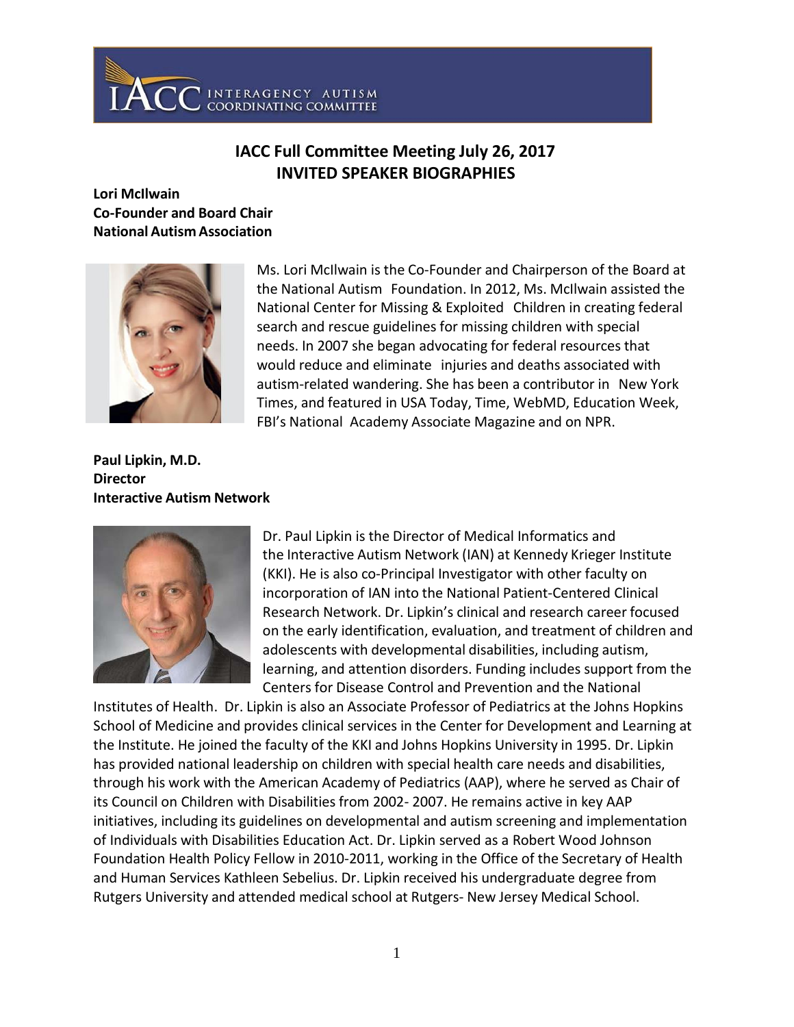

# **IACC Full Committee Meeting July 26, 2017 INVITED SPEAKER BIOGRAPHIES**

# **Lori McIlwain Co-Founder and Board Chair National Autism Association**



Ms. Lori McIlwain is the Co-Founder and Chairperson of the Board at the National Autism Foundation. In 2012, Ms. McIlwain assisted the National Center for Missing & Exploited Children in creating federal search and rescue guidelines for missing children with special needs. In 2007 she began advocating for federal resources that would reduce and eliminate injuries and deaths associated with autism-related wandering. She has been a contributor in New York Times, and featured in USA Today, Time, WebMD, Education Week, FBI's National Academy Associate Magazine and on NPR.

**Paul Lipkin, M.D. Director Interactive Autism Network**



Dr. Paul Lipkin is the Director of Medical Informatics and the Interactive Autism Network (IAN) at Kennedy Krieger Institute (KKI). He is also co-Principal Investigator with other faculty on incorporation of IAN into the National Patient-Centered Clinical Research Network. Dr. Lipkin's clinical and research career focused on the early identification, evaluation, and treatment of children and adolescents with developmental disabilities, including autism, learning, and attention disorders. Funding includes support from the Centers for Disease Control and Prevention and the National

Institutes of Health. Dr. Lipkin is also an Associate Professor of Pediatrics at the Johns Hopkins School of Medicine and provides clinical services in the Center for Development and Learning at the Institute. He joined the faculty of the KKI and Johns Hopkins University in 1995. Dr. Lipkin has provided national leadership on children with special health care needs and disabilities, through his work with the American Academy of Pediatrics (AAP), where he served as Chair of its Council on Children with Disabilities from 2002- 2007. He remains active in key AAP initiatives, including its guidelines on developmental and autism screening and implementation of Individuals with Disabilities Education Act. Dr. Lipkin served as a Robert Wood Johnson Foundation Health Policy Fellow in 2010-2011, working in the Office of the Secretary of Health and Human Services Kathleen Sebelius. Dr. Lipkin received his undergraduate degree from Rutgers University and attended medical school at Rutgers- New Jersey Medical School.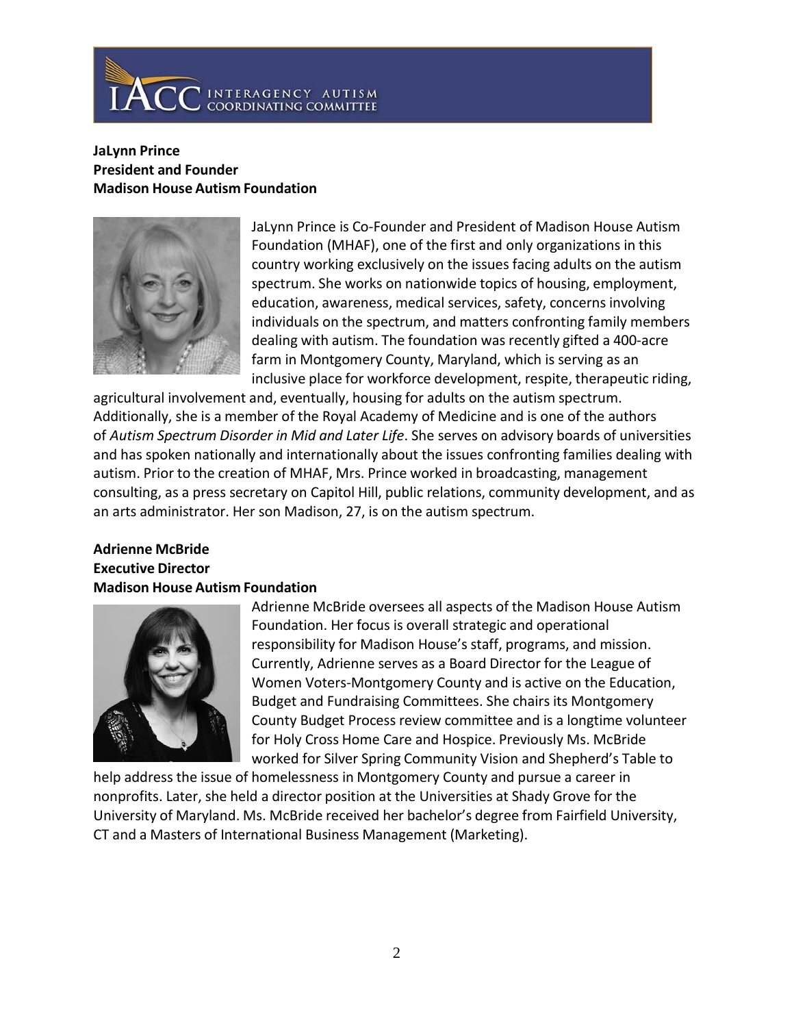

#### **JaLynn Prince President and Founder Madison House Autism Foundation**



JaLynn Prince is Co-Founder and President of Madison House Autism Foundation (MHAF), one of the first and only organizations in this country working exclusively on the issues facing adults on the autism spectrum. She works on nationwide topics of housing, employment, education, awareness, medical services, safety, concerns involving individuals on the spectrum, and matters confronting family members dealing with autism. The foundation was recently gifted a 400-acre farm in Montgomery County, Maryland, which is serving as an inclusive place for workforce development, respite, therapeutic riding,

agricultural involvement and, eventually, housing for adults on the autism spectrum. Additionally, she is a member of the Royal Academy of Medicine and is one of the authors of *Autism Spectrum Disorder in Mid and Later Life*. She serves on advisory boards of universities and has spoken nationally and internationally about the issues confronting families dealing with autism. Prior to the creation of MHAF, Mrs. Prince worked in broadcasting, management consulting, as a press secretary on Capitol Hill, public relations, community development, and as an arts administrator. Her son Madison, 27, is on the autism spectrum.

## **Adrienne McBride Executive Director Madison House Autism Foundation**



Adrienne McBride oversees all aspects of the Madison House Autism Foundation. Her focus is overall strategic and operational responsibility for Madison House's staff, programs, and mission. Currently, Adrienne serves as a Board Director for the League of Women Voters-Montgomery County and is active on the Education, Budget and Fundraising Committees. She chairs its Montgomery County Budget Process review committee and is a longtime volunteer for Holy Cross Home Care and Hospice. Previously Ms. McBride worked for Silver Spring Community Vision and Shepherd's Table to

help address the issue of homelessness in Montgomery County and pursue a career in nonprofits. Later, she held a director position at the Universities at Shady Grove for the University of Maryland. Ms. McBride received her bachelor's degree from Fairfield University, CT and a Masters of International Business Management (Marketing).